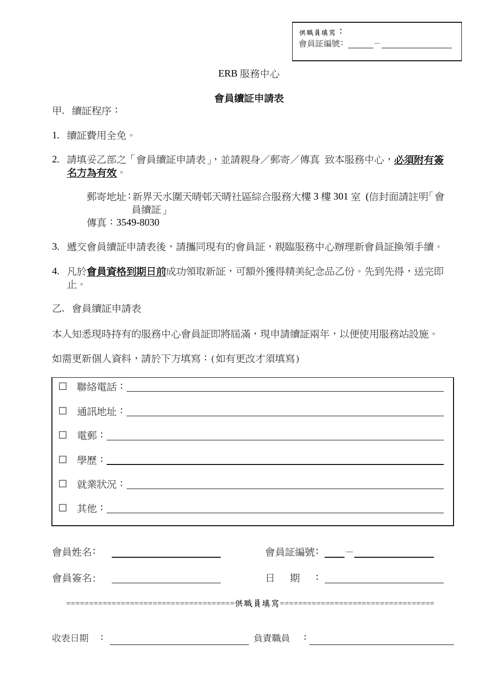| 供職員填寫: |  |
|--------|--|
| 會員証編號: |  |

### ERB 服務中心

#### 會員續証申請表

- 甲. 續証程序:
- 1. 續証費用全免。
- 2. 請填妥乙部之「會員續証申請表」,並請親身/郵寄/傳真 致本服務中心,必須附有簽 名方為有效。

 郵寄地址:新界天水圍天晴邨天晴社區綜合服務大樓 3 樓 301 室 (信封面請註明「會 員續証」 傳真:3549-8030

- 3. 搋交會員續証申請表後,請攜同現有的會員証,親臨服務中心辦理新會員証換領手續。
- 4. 凡於會員資格到期日前成功領取新証,可額外獲得精美紀念品乙份。先到先得,送完即 止。

乙. 會員續証申請表

本人知悉現時持有的服務中心會員証即將屆滿,現申請續証兩年,以便使用服務站設施。

如需更新個人資料,請於下方填寫:(如有更改才須填寫)

|                                   | 聯絡電話:                                                        |  |
|-----------------------------------|--------------------------------------------------------------|--|
| $\Box$                            |                                                              |  |
|                                   |                                                              |  |
| $\Box$                            |                                                              |  |
| $\Box$                            |                                                              |  |
|                                   |                                                              |  |
| 會員証編號: ____- - __________________ |                                                              |  |
|                                   |                                                              |  |
|                                   |                                                              |  |
|                                   | 收表日期 : 2000<br>負責職員 : こころ こうしょう うんこう こうしょう しんしゅう しんしゅう しんしゅう |  |